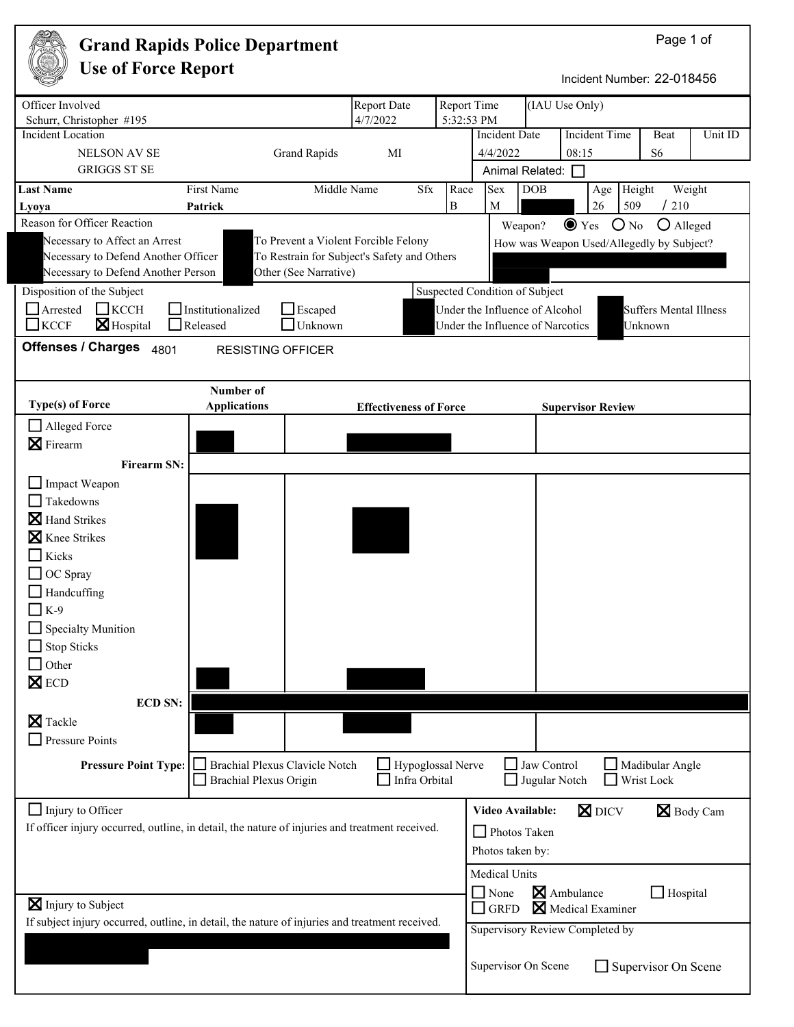| <b>Grand Rapids Police Department</b>                                                          |                                                 |                                                                                     |                               |                   |                                  |                      |                                           |                               | Page 1 of |  |  |
|------------------------------------------------------------------------------------------------|-------------------------------------------------|-------------------------------------------------------------------------------------|-------------------------------|-------------------|----------------------------------|----------------------|-------------------------------------------|-------------------------------|-----------|--|--|
| <b>Use of Force Report</b>                                                                     |                                                 |                                                                                     |                               |                   |                                  |                      | Incident Number: 22-018456                |                               |           |  |  |
| Officer Involved                                                                               |                                                 |                                                                                     | <b>Report Date</b>            | Report Time       |                                  |                      | (IAU Use Only)                            |                               |           |  |  |
| Schurr, Christopher #195                                                                       |                                                 |                                                                                     | 4/7/2022                      | 5:32:53 PM        |                                  |                      |                                           |                               |           |  |  |
| <b>Incident Location</b>                                                                       |                                                 |                                                                                     |                               |                   | <b>Incident Date</b>             |                      | <b>Incident Time</b>                      | Beat                          | Unit ID   |  |  |
| NELSON AV SE                                                                                   |                                                 | <b>Grand Rapids</b>                                                                 | MI                            |                   | 4/4/2022                         |                      | 08:15                                     | S <sub>6</sub>                |           |  |  |
| <b>GRIGGS ST SE</b>                                                                            |                                                 |                                                                                     |                               |                   | Animal Related: □                |                      |                                           |                               |           |  |  |
| <b>Last Name</b>                                                                               | First Name                                      | Middle Name                                                                         |                               | Sfx<br>Race       | <b>Sex</b>                       | <b>DOB</b>           | Age Height                                |                               | Weight    |  |  |
| Lyoya                                                                                          | Patrick                                         |                                                                                     |                               | $\, {\bf B}$      | M                                |                      | 26                                        | 509<br>/210                   |           |  |  |
| Reason for Officer Reaction                                                                    |                                                 |                                                                                     |                               |                   |                                  | Weapon?              | $\bullet$ Yes<br>O <sub>No</sub>          | $O$ Alleged                   |           |  |  |
| Necessary to Affect an Arrest<br>Necessary to Defend Another Officer                           |                                                 | To Prevent a Violent Forcible Felony<br>To Restrain for Subject's Safety and Others |                               |                   |                                  |                      | How was Weapon Used/Allegedly by Subject? |                               |           |  |  |
| Necessary to Defend Another Person                                                             |                                                 | Other (See Narrative)                                                               |                               |                   |                                  |                      |                                           |                               |           |  |  |
| Disposition of the Subject                                                                     |                                                 |                                                                                     |                               |                   | Suspected Condition of Subject   |                      |                                           |                               |           |  |  |
| $\Box$ KCCH<br>$\Box$ Arrested                                                                 | $\Box$ Institutionalized                        | $\Box$ Escaped                                                                      |                               |                   | Under the Influence of Alcohol   |                      |                                           | <b>Suffers Mental Illness</b> |           |  |  |
| <b>X</b> Hospital<br>$\Box$ KCCF                                                               | $\Box$ Released                                 | $\exists$ Unknown                                                                   |                               |                   | Under the Influence of Narcotics |                      |                                           | Unknown                       |           |  |  |
| Offenses / Charges 4801                                                                        |                                                 |                                                                                     |                               |                   |                                  |                      |                                           |                               |           |  |  |
|                                                                                                |                                                 | <b>RESISTING OFFICER</b>                                                            |                               |                   |                                  |                      |                                           |                               |           |  |  |
|                                                                                                |                                                 |                                                                                     |                               |                   |                                  |                      |                                           |                               |           |  |  |
| <b>Type(s)</b> of Force                                                                        | Number of<br><b>Applications</b>                |                                                                                     |                               |                   |                                  |                      |                                           |                               |           |  |  |
|                                                                                                |                                                 |                                                                                     | <b>Effectiveness of Force</b> |                   |                                  |                      | <b>Supervisor Review</b>                  |                               |           |  |  |
| Alleged Force                                                                                  |                                                 |                                                                                     |                               |                   |                                  |                      |                                           |                               |           |  |  |
| $\boxtimes$ Firearm                                                                            |                                                 |                                                                                     |                               |                   |                                  |                      |                                           |                               |           |  |  |
| <b>Firearm SN:</b>                                                                             |                                                 |                                                                                     |                               |                   |                                  |                      |                                           |                               |           |  |  |
| Impact Weapon                                                                                  |                                                 |                                                                                     |                               |                   |                                  |                      |                                           |                               |           |  |  |
| $\Box$ Takedowns                                                                               |                                                 |                                                                                     |                               |                   |                                  |                      |                                           |                               |           |  |  |
| M Hand Strikes                                                                                 |                                                 |                                                                                     |                               |                   |                                  |                      |                                           |                               |           |  |  |
| <b>X</b> Knee Strikes                                                                          |                                                 |                                                                                     |                               |                   |                                  |                      |                                           |                               |           |  |  |
| $\Box$ Kicks                                                                                   |                                                 |                                                                                     |                               |                   |                                  |                      |                                           |                               |           |  |  |
| $\Box$ OC Spray                                                                                |                                                 |                                                                                     |                               |                   |                                  |                      |                                           |                               |           |  |  |
| $\Box$ Handcuffing                                                                             |                                                 |                                                                                     |                               |                   |                                  |                      |                                           |                               |           |  |  |
| $\Box$ K-9                                                                                     |                                                 |                                                                                     |                               |                   |                                  |                      |                                           |                               |           |  |  |
| $\Box$ Specialty Munition                                                                      |                                                 |                                                                                     |                               |                   |                                  |                      |                                           |                               |           |  |  |
| $\Box$ Stop Sticks                                                                             |                                                 |                                                                                     |                               |                   |                                  |                      |                                           |                               |           |  |  |
| $\Box$ Other                                                                                   |                                                 |                                                                                     |                               |                   |                                  |                      |                                           |                               |           |  |  |
| $\boxtimes$ ECD                                                                                |                                                 |                                                                                     |                               |                   |                                  |                      |                                           |                               |           |  |  |
| <b>ECD SN:</b>                                                                                 |                                                 |                                                                                     |                               |                   |                                  |                      |                                           |                               |           |  |  |
| <b>X</b> Tackle                                                                                |                                                 |                                                                                     |                               |                   |                                  |                      |                                           |                               |           |  |  |
| Pressure Points                                                                                |                                                 |                                                                                     |                               |                   |                                  |                      |                                           |                               |           |  |  |
| <b>Pressure Point Type:</b>                                                                    | ΙI                                              | Brachial Plexus Clavicle Notch                                                      |                               | Hypoglossal Nerve |                                  | Jaw Control          |                                           | Madibular Angle               |           |  |  |
|                                                                                                | <b>Brachial Plexus Origin</b><br>$\blacksquare$ |                                                                                     | Infra Orbital                 |                   |                                  | Jugular Notch        |                                           | Wrist Lock                    |           |  |  |
|                                                                                                |                                                 |                                                                                     |                               |                   |                                  |                      |                                           |                               |           |  |  |
| $\Box$ Injury to Officer                                                                       |                                                 |                                                                                     |                               |                   | Video Available:                 |                      | <b>X</b> DICV                             |                               | Body Cam  |  |  |
| If officer injury occurred, outline, in detail, the nature of injuries and treatment received. |                                                 |                                                                                     |                               |                   | $\Box$ Photos Taken              |                      |                                           |                               |           |  |  |
|                                                                                                |                                                 |                                                                                     |                               |                   | Photos taken by:                 |                      |                                           |                               |           |  |  |
|                                                                                                |                                                 |                                                                                     |                               |                   |                                  | <b>Medical Units</b> |                                           |                               |           |  |  |
|                                                                                                |                                                 |                                                                                     |                               |                   | $\Box$ None                      |                      | $\mathbf{\Sigma}$ Ambulance               | $\Box$ Hospital               |           |  |  |
| <b>X</b> Injury to Subject                                                                     |                                                 |                                                                                     |                               |                   | $\Box$ GRFD                      |                      | Medical Examiner                          |                               |           |  |  |
| If subject injury occurred, outline, in detail, the nature of injuries and treatment received. |                                                 |                                                                                     |                               |                   | Supervisory Review Completed by  |                      |                                           |                               |           |  |  |
|                                                                                                |                                                 |                                                                                     |                               |                   |                                  |                      |                                           |                               |           |  |  |
|                                                                                                |                                                 |                                                                                     |                               |                   | Supervisor On Scene              |                      |                                           | Supervisor On Scene           |           |  |  |
|                                                                                                |                                                 |                                                                                     |                               |                   |                                  |                      |                                           |                               |           |  |  |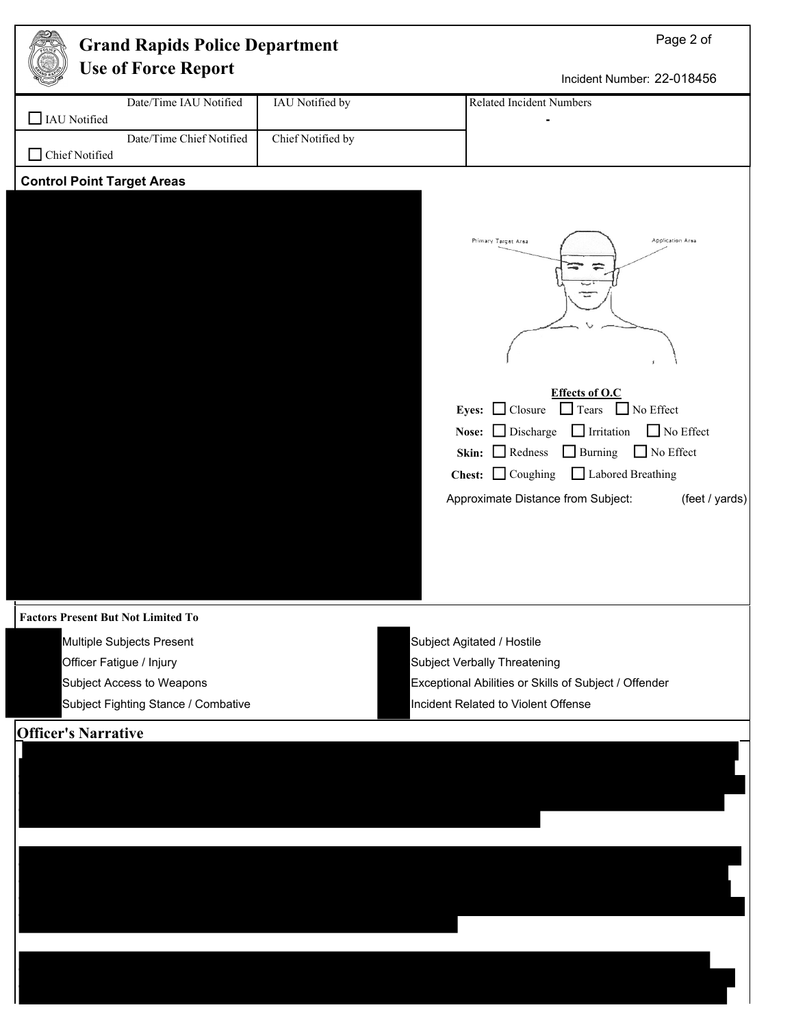| <b>Grand Rapids Police Department</b><br><b>Use of Force Report</b> |                   | Page 2 of                                                                                                                                                                                                                                                                                                                                                        |  |  |  |  |  |
|---------------------------------------------------------------------|-------------------|------------------------------------------------------------------------------------------------------------------------------------------------------------------------------------------------------------------------------------------------------------------------------------------------------------------------------------------------------------------|--|--|--|--|--|
|                                                                     |                   | Incident Number: 22-018456                                                                                                                                                                                                                                                                                                                                       |  |  |  |  |  |
| Date/Time IAU Notified<br>IAU Notified                              | IAU Notified by   | <b>Related Incident Numbers</b>                                                                                                                                                                                                                                                                                                                                  |  |  |  |  |  |
| Date/Time Chief Notified<br>$\Box$ Chief Notified                   | Chief Notified by |                                                                                                                                                                                                                                                                                                                                                                  |  |  |  |  |  |
| <b>Control Point Target Areas</b>                                   |                   |                                                                                                                                                                                                                                                                                                                                                                  |  |  |  |  |  |
|                                                                     |                   | Application Area<br>Primary Target Area<br><b>Effects of O.C</b><br>$\Box$ Tears $\Box$ No Effect<br>Eyes: $\Box$ Closure<br>$\Box$ Irritation<br>$\Box$ No Effect<br>Discharge<br>Nose:<br>Redness<br>$\Box$ Burning<br>$\Box$ No Effect<br>Skin:<br><b>Chest:</b> $\Box$ Coughing<br>Labored Breathing<br>Approximate Distance from Subject:<br>(feet / yards) |  |  |  |  |  |
| <b>Factors Present But Not Limited To</b>                           |                   |                                                                                                                                                                                                                                                                                                                                                                  |  |  |  |  |  |
| Multiple Subjects Present                                           |                   | Subject Agitated / Hostile                                                                                                                                                                                                                                                                                                                                       |  |  |  |  |  |
| Officer Fatigue / Injury                                            |                   | Subject Verbally Threatening                                                                                                                                                                                                                                                                                                                                     |  |  |  |  |  |
| Subject Access to Weapons<br>Subject Fighting Stance / Combative    |                   | Exceptional Abilities or Skills of Subject / Offender<br>Incident Related to Violent Offense                                                                                                                                                                                                                                                                     |  |  |  |  |  |
| <b>Officer's Narrative</b>                                          |                   |                                                                                                                                                                                                                                                                                                                                                                  |  |  |  |  |  |
|                                                                     |                   |                                                                                                                                                                                                                                                                                                                                                                  |  |  |  |  |  |
|                                                                     |                   |                                                                                                                                                                                                                                                                                                                                                                  |  |  |  |  |  |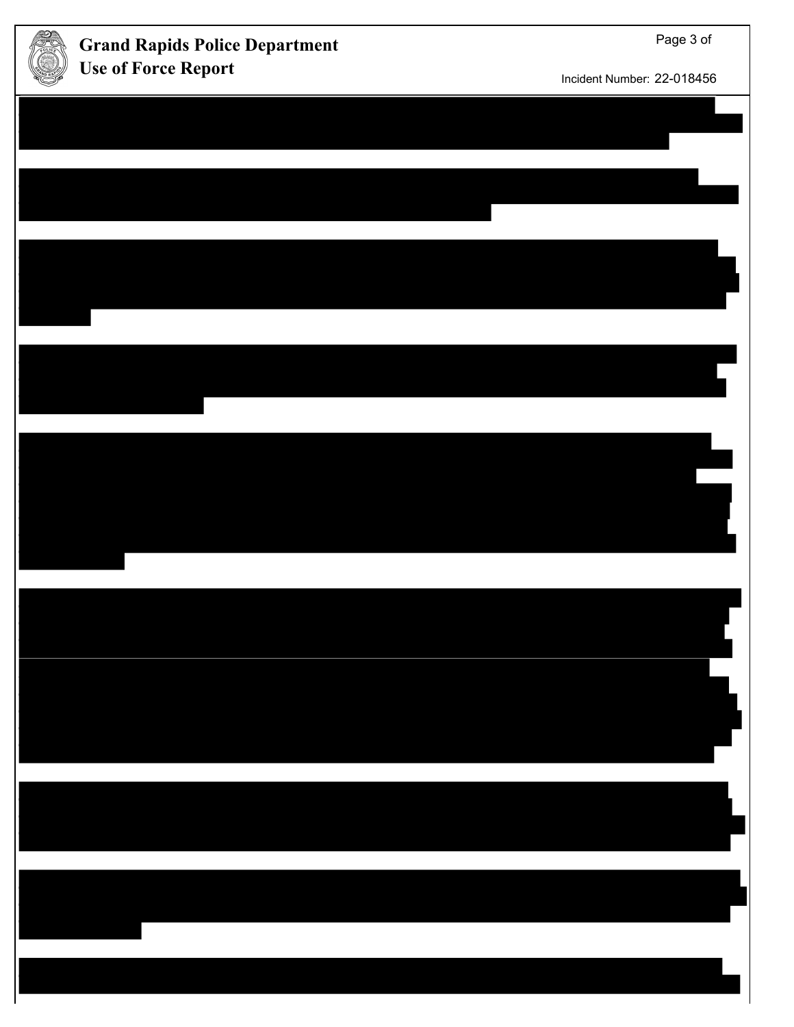| <b>Grand Rapids Police Department</b> | Page 3 of                  |
|---------------------------------------|----------------------------|
| <b>Use of Force Report</b>            | Incident Number: 22-018456 |
|                                       |                            |
|                                       |                            |
|                                       |                            |
|                                       |                            |
|                                       |                            |
|                                       |                            |
|                                       |                            |
|                                       |                            |
|                                       |                            |
|                                       |                            |
|                                       |                            |
|                                       |                            |
|                                       |                            |
|                                       |                            |
|                                       |                            |
|                                       |                            |
|                                       |                            |
|                                       |                            |
|                                       |                            |
|                                       |                            |
|                                       |                            |
|                                       |                            |
|                                       |                            |
|                                       |                            |
|                                       |                            |
|                                       |                            |
|                                       |                            |
|                                       |                            |